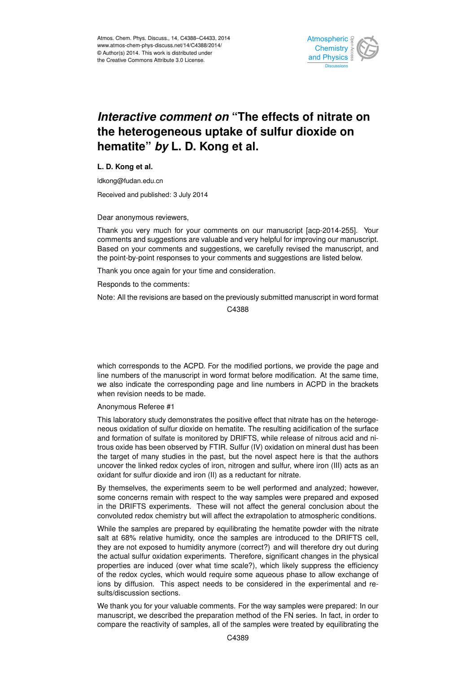

# *Interactive comment on* **"The effects of nitrate on the heterogeneous uptake of sulfur dioxide on hematite"** *by* **L. D. Kong et al.**

**L. D. Kong et al.**

ldkong@fudan.edu.cn

Received and published: 3 July 2014

Dear anonymous reviewers,

Thank you very much for your comments on our manuscript [acp-2014-255]. Your comments and suggestions are valuable and very helpful for improving our manuscript. Based on your comments and suggestions, we carefully revised the manuscript, and the point-by-point responses to your comments and suggestions are listed below.

Thank you once again for your time and consideration.

Responds to the comments:

Note: All the revisions are based on the previously submitted manuscript in word format

C4388

which corresponds to the ACPD. For the modified portions, we provide the page and line numbers of the manuscript in word format before modification. At the same time, we also indicate the corresponding page and line numbers in ACPD in the brackets when revision needs to be made.

Anonymous Referee #1

This laboratory study demonstrates the positive effect that nitrate has on the heterogeneous oxidation of sulfur dioxide on hematite. The resulting acidification of the surface and formation of sulfate is monitored by DRIFTS, while release of nitrous acid and nitrous oxide has been observed by FTIR. Sulfur (IV) oxidation on mineral dust has been the target of many studies in the past, but the novel aspect here is that the authors uncover the linked redox cycles of iron, nitrogen and sulfur, where iron (III) acts as an oxidant for sulfur dioxide and iron (II) as a reductant for nitrate.

By themselves, the experiments seem to be well performed and analyzed; however, some concerns remain with respect to the way samples were prepared and exposed in the DRIFTS experiments. These will not affect the general conclusion about the convoluted redox chemistry but will affect the extrapolation to atmospheric conditions.

While the samples are prepared by equilibrating the hematite powder with the nitrate salt at 68% relative humidity, once the samples are introduced to the DRIFTS cell, they are not exposed to humidity anymore (correct?) and will therefore dry out during the actual sulfur oxidation experiments. Therefore, significant changes in the physical properties are induced (over what time scale?), which likely suppress the efficiency of the redox cycles, which would require some aqueous phase to allow exchange of ions by diffusion. This aspect needs to be considered in the experimental and results/discussion sections.

We thank you for your valuable comments. For the way samples were prepared: In our manuscript, we described the preparation method of the FN series. In fact, in order to compare the reactivity of samples, all of the samples were treated by equilibrating the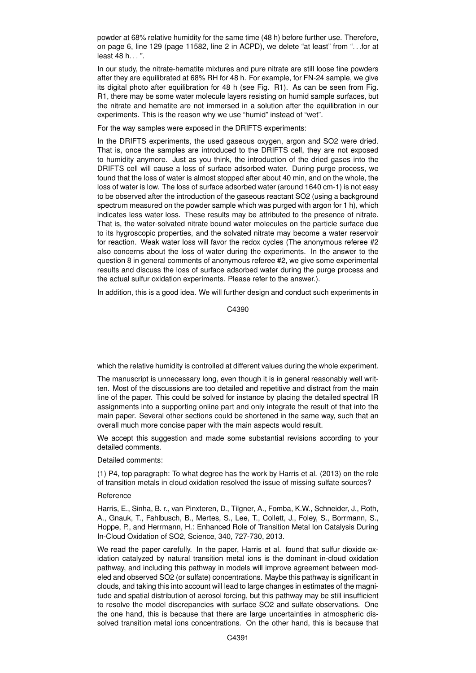powder at 68% relative humidity for the same time (48 h) before further use. Therefore, on page 6, line 129 (page 11582, line 2 in ACPD), we delete "at least" from ". . .for at least 48 h...".

In our study, the nitrate-hematite mixtures and pure nitrate are still loose fine powders after they are equilibrated at 68% RH for 48 h. For example, for FN-24 sample, we give its digital photo after equilibration for 48 h (see Fig. R1). As can be seen from Fig. R1, there may be some water molecule layers resisting on humid sample surfaces, but the nitrate and hematite are not immersed in a solution after the equilibration in our experiments. This is the reason why we use "humid" instead of "wet".

For the way samples were exposed in the DRIFTS experiments:

In the DRIFTS experiments, the used gaseous oxygen, argon and SO2 were dried. That is, once the samples are introduced to the DRIFTS cell, they are not exposed to humidity anymore. Just as you think, the introduction of the dried gases into the DRIFTS cell will cause a loss of surface adsorbed water. During purge process, we found that the loss of water is almost stopped after about 40 min, and on the whole, the loss of water is low. The loss of surface adsorbed water (around 1640 cm-1) is not easy to be observed after the introduction of the gaseous reactant SO2 (using a background spectrum measured on the powder sample which was purged with argon for 1 h), which indicates less water loss. These results may be attributed to the presence of nitrate. That is, the water-solvated nitrate bound water molecules on the particle surface due to its hygroscopic properties, and the solvated nitrate may become a water reservoir for reaction. Weak water loss will favor the redox cycles (The anonymous referee #2 also concerns about the loss of water during the experiments. In the answer to the question 8 in general comments of anonymous referee #2, we give some experimental results and discuss the loss of surface adsorbed water during the purge process and the actual sulfur oxidation experiments. Please refer to the answer.).

In addition, this is a good idea. We will further design and conduct such experiments in

C4390

which the relative humidity is controlled at different values during the whole experiment.

The manuscript is unnecessary long, even though it is in general reasonably well written. Most of the discussions are too detailed and repetitive and distract from the main line of the paper. This could be solved for instance by placing the detailed spectral IR assignments into a supporting online part and only integrate the result of that into the main paper. Several other sections could be shortened in the same way, such that an overall much more concise paper with the main aspects would result.

We accept this suggestion and made some substantial revisions according to your detailed comments.

Detailed comments:

(1) P4, top paragraph: To what degree has the work by Harris et al. (2013) on the role of transition metals in cloud oxidation resolved the issue of missing sulfate sources?

## Reference

Harris, E., Sinha, B. r., van Pinxteren, D., Tilgner, A., Fomba, K.W., Schneider, J., Roth, A., Gnauk, T., Fahlbusch, B., Mertes, S., Lee, T., Collett, J., Foley, S., Borrmann, S., Hoppe, P., and Herrmann, H.: Enhanced Role of Transition Metal Ion Catalysis During In-Cloud Oxidation of SO2, Science, 340, 727-730, 2013.

We read the paper carefully. In the paper, Harris et al. found that sulfur dioxide oxidation catalyzed by natural transition metal ions is the dominant in-cloud oxidation pathway, and including this pathway in models will improve agreement between modeled and observed SO2 (or sulfate) concentrations. Maybe this pathway is significant in clouds, and taking this into account will lead to large changes in estimates of the magnitude and spatial distribution of aerosol forcing, but this pathway may be still insufficient to resolve the model discrepancies with surface SO2 and sulfate observations. One the one hand, this is because that there are large uncertainties in atmospheric dissolved transition metal ions concentrations. On the other hand, this is because that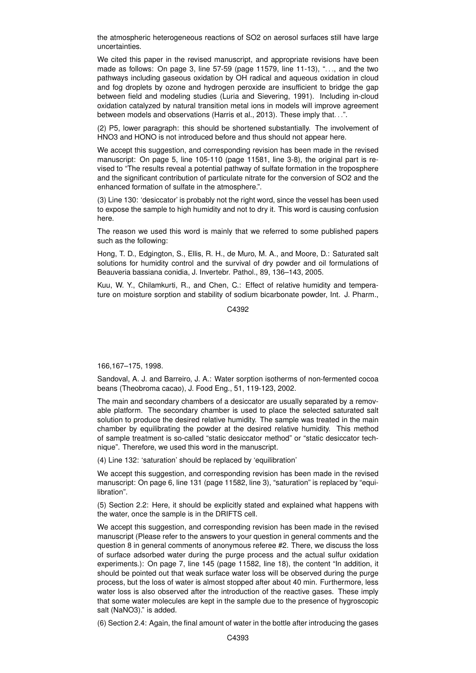the atmospheric heterogeneous reactions of SO2 on aerosol surfaces still have large uncertainties.

We cited this paper in the revised manuscript, and appropriate revisions have been made as follows: On page 3, line  $57-59$  (page 11579, line  $11-13$ ), "..., and the two pathways including gaseous oxidation by OH radical and aqueous oxidation in cloud and fog droplets by ozone and hydrogen peroxide are insufficient to bridge the gap between field and modeling studies (Luria and Sievering, 1991). Including in-cloud oxidation catalyzed by natural transition metal ions in models will improve agreement between models and observations (Harris et al., 2013). These imply that. . .".

(2) P5, lower paragraph: this should be shortened substantially. The involvement of HNO3 and HONO is not introduced before and thus should not appear here.

We accept this suggestion, and corresponding revision has been made in the revised manuscript: On page 5, line 105-110 (page 11581, line 3-8), the original part is revised to "The results reveal a potential pathway of sulfate formation in the troposphere and the significant contribution of particulate nitrate for the conversion of SO2 and the enhanced formation of sulfate in the atmosphere.".

(3) Line 130: 'desiccator' is probably not the right word, since the vessel has been used to expose the sample to high humidity and not to dry it. This word is causing confusion here.

The reason we used this word is mainly that we referred to some published papers such as the following:

Hong, T. D., Edgington, S., Ellis, R. H., de Muro, M. A., and Moore, D.: Saturated salt solutions for humidity control and the survival of dry powder and oil formulations of Beauveria bassiana conidia, J. Invertebr. Pathol., 89, 136–143, 2005.

Kuu, W. Y., Chilamkurti, R., and Chen, C.: Effect of relative humidity and temperature on moisture sorption and stability of sodium bicarbonate powder, Int. J. Pharm.,

C4392

166,167–175, 1998.

Sandoval, A. J. and Barreiro, J. A.: Water sorption isotherms of non-fermented cocoa beans (Theobroma cacao), J. Food Eng., 51, 119-123, 2002.

The main and secondary chambers of a desiccator are usually separated by a removable platform. The secondary chamber is used to place the selected saturated salt solution to produce the desired relative humidity. The sample was treated in the main chamber by equilibrating the powder at the desired relative humidity. This method of sample treatment is so-called "static desiccator method" or "static desiccator technique". Therefore, we used this word in the manuscript.

(4) Line 132: 'saturation' should be replaced by 'equilibration'

We accept this suggestion, and corresponding revision has been made in the revised manuscript: On page 6, line 131 (page 11582, line 3), "saturation" is replaced by "equilibration".

(5) Section 2.2: Here, it should be explicitly stated and explained what happens with the water, once the sample is in the DRIFTS cell.

We accept this suggestion, and corresponding revision has been made in the revised manuscript (Please refer to the answers to your question in general comments and the question 8 in general comments of anonymous referee #2. There, we discuss the loss of surface adsorbed water during the purge process and the actual sulfur oxidation experiments.): On page 7, line 145 (page 11582, line 18), the content "In addition, it should be pointed out that weak surface water loss will be observed during the purge process, but the loss of water is almost stopped after about 40 min. Furthermore, less water loss is also observed after the introduction of the reactive gases. These imply that some water molecules are kept in the sample due to the presence of hygroscopic salt (NaNO3)." is added.

(6) Section 2.4: Again, the final amount of water in the bottle after introducing the gases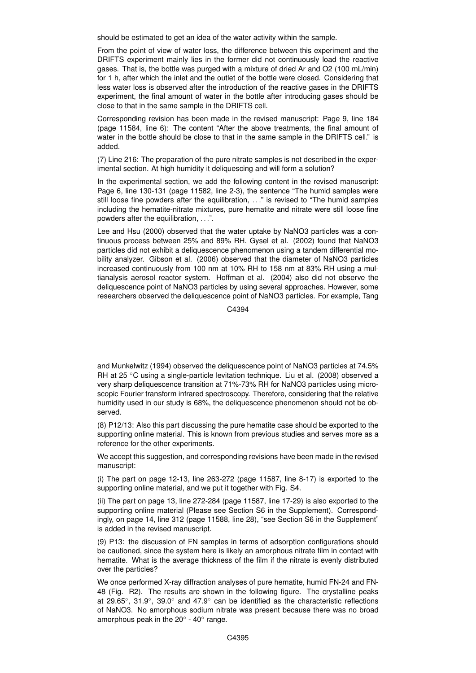should be estimated to get an idea of the water activity within the sample.

From the point of view of water loss, the difference between this experiment and the DRIFTS experiment mainly lies in the former did not continuously load the reactive gases. That is, the bottle was purged with a mixture of dried Ar and O2 (100 mL/min) for 1 h, after which the inlet and the outlet of the bottle were closed. Considering that less water loss is observed after the introduction of the reactive gases in the DRIFTS experiment, the final amount of water in the bottle after introducing gases should be close to that in the same sample in the DRIFTS cell.

Corresponding revision has been made in the revised manuscript: Page 9, line 184 (page 11584, line 6): The content "After the above treatments, the final amount of water in the bottle should be close to that in the same sample in the DRIFTS cell." is added.

(7) Line 216: The preparation of the pure nitrate samples is not described in the experimental section. At high humidity it deliquescing and will form a solution?

In the experimental section, we add the following content in the revised manuscript: Page 6, line 130-131 (page 11582, line 2-3), the sentence "The humid samples were still loose fine powders after the equilibration, ..." is revised to "The humid samples including the hematite-nitrate mixtures, pure hematite and nitrate were still loose fine powders after the equilibration, . . .".

Lee and Hsu (2000) observed that the water uptake by NaNO3 particles was a continuous process between 25% and 89% RH. Gysel et al. (2002) found that NaNO3 particles did not exhibit a deliquescence phenomenon using a tandem differential mobility analyzer. Gibson et al. (2006) observed that the diameter of NaNO3 particles increased continuously from 100 nm at 10% RH to 158 nm at 83% RH using a multianalysis aerosol reactor system. Hoffman et al. (2004) also did not observe the deliquescence point of NaNO3 particles by using several approaches. However, some researchers observed the deliquescence point of NaNO3 particles. For example, Tang

C4394

and Munkelwitz (1994) observed the deliquescence point of NaNO3 particles at 74.5% RH at 25 ◦C using a single-particle levitation technique. Liu et al. (2008) observed a very sharp deliquescence transition at 71%-73% RH for NaNO3 particles using microscopic Fourier transform infrared spectroscopy. Therefore, considering that the relative humidity used in our study is 68%, the deliquescence phenomenon should not be observed.

(8) P12/13: Also this part discussing the pure hematite case should be exported to the supporting online material. This is known from previous studies and serves more as a reference for the other experiments.

We accept this suggestion, and corresponding revisions have been made in the revised manuscript:

(i) The part on page 12-13, line 263-272 (page 11587, line 8-17) is exported to the supporting online material, and we put it together with Fig. S4.

(ii) The part on page 13, line 272-284 (page 11587, line 17-29) is also exported to the supporting online material (Please see Section S6 in the Supplement). Correspondingly, on page 14, line 312 (page 11588, line 28), "see Section S6 in the Supplement" is added in the revised manuscript.

(9) P13: the discussion of FN samples in terms of adsorption configurations should be cautioned, since the system here is likely an amorphous nitrate film in contact with hematite. What is the average thickness of the film if the nitrate is evenly distributed over the particles?

We once performed X-ray diffraction analyses of pure hematite, humid FN-24 and FN-48 (Fig. R2). The results are shown in the following figure. The crystalline peaks at 29.65◦ , 31.9◦ , 39.0◦ and 47.9◦ can be identified as the characteristic reflections of NaNO3. No amorphous sodium nitrate was present because there was no broad amorphous peak in the 20 $^{\circ}$  - 40 $^{\circ}$  range.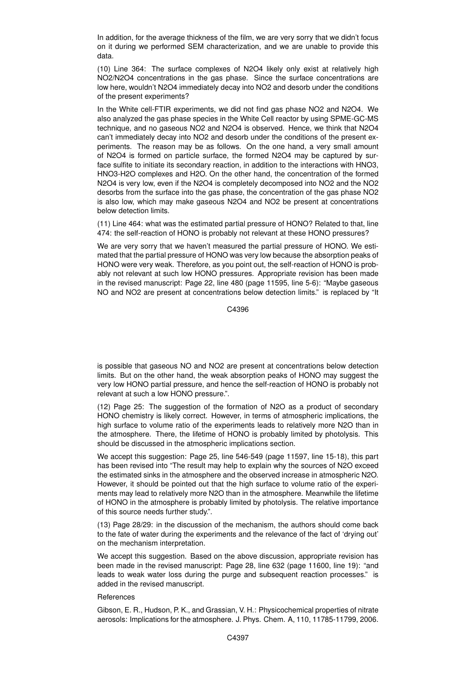In addition, for the average thickness of the film, we are very sorry that we didn't focus on it during we performed SEM characterization, and we are unable to provide this data.

(10) Line 364: The surface complexes of N2O4 likely only exist at relatively high NO2/N2O4 concentrations in the gas phase. Since the surface concentrations are low here, wouldn't N2O4 immediately decay into NO2 and desorb under the conditions of the present experiments?

In the White cell-FTIR experiments, we did not find gas phase NO2 and N2O4. We also analyzed the gas phase species in the White Cell reactor by using SPME-GC-MS technique, and no gaseous NO2 and N2O4 is observed. Hence, we think that N2O4 can't immediately decay into NO2 and desorb under the conditions of the present experiments. The reason may be as follows. On the one hand, a very small amount of N2O4 is formed on particle surface, the formed N2O4 may be captured by surface sulfite to initiate its secondary reaction, in addition to the interactions with HNO3, HNO3-H2O complexes and H2O. On the other hand, the concentration of the formed N2O4 is very low, even if the N2O4 is completely decomposed into NO2 and the NO2 desorbs from the surface into the gas phase, the concentration of the gas phase NO2 is also low, which may make gaseous N2O4 and NO2 be present at concentrations below detection limits.

(11) Line 464: what was the estimated partial pressure of HONO? Related to that, line 474: the self-reaction of HONO is probably not relevant at these HONO pressures?

We are very sorry that we haven't measured the partial pressure of HONO. We estimated that the partial pressure of HONO was very low because the absorption peaks of HONO were very weak. Therefore, as you point out, the self-reaction of HONO is probably not relevant at such low HONO pressures. Appropriate revision has been made in the revised manuscript: Page 22, line 480 (page 11595, line 5-6): "Maybe gaseous NO and NO2 are present at concentrations below detection limits." is replaced by "It

C<sub>4396</sub>

is possible that gaseous NO and NO2 are present at concentrations below detection limits. But on the other hand, the weak absorption peaks of HONO may suggest the very low HONO partial pressure, and hence the self-reaction of HONO is probably not relevant at such a low HONO pressure.".

(12) Page 25: The suggestion of the formation of N2O as a product of secondary HONO chemistry is likely correct. However, in terms of atmospheric implications, the high surface to volume ratio of the experiments leads to relatively more N2O than in the atmosphere. There, the lifetime of HONO is probably limited by photolysis. This should be discussed in the atmospheric implications section.

We accept this suggestion: Page 25, line 546-549 (page 11597, line 15-18), this part has been revised into "The result may help to explain why the sources of N2O exceed the estimated sinks in the atmosphere and the observed increase in atmospheric N2O. However, it should be pointed out that the high surface to volume ratio of the experiments may lead to relatively more N2O than in the atmosphere. Meanwhile the lifetime of HONO in the atmosphere is probably limited by photolysis. The relative importance of this source needs further study.".

(13) Page 28/29: in the discussion of the mechanism, the authors should come back to the fate of water during the experiments and the relevance of the fact of 'drying out' on the mechanism interpretation.

We accept this suggestion. Based on the above discussion, appropriate revision has been made in the revised manuscript: Page 28, line 632 (page 11600, line 19): "and leads to weak water loss during the purge and subsequent reaction processes." is added in the revised manuscript.

## **References**

Gibson, E. R., Hudson, P. K., and Grassian, V. H.: Physicochemical properties of nitrate aerosols: Implications for the atmosphere. J. Phys. Chem. A, 110, 11785-11799, 2006.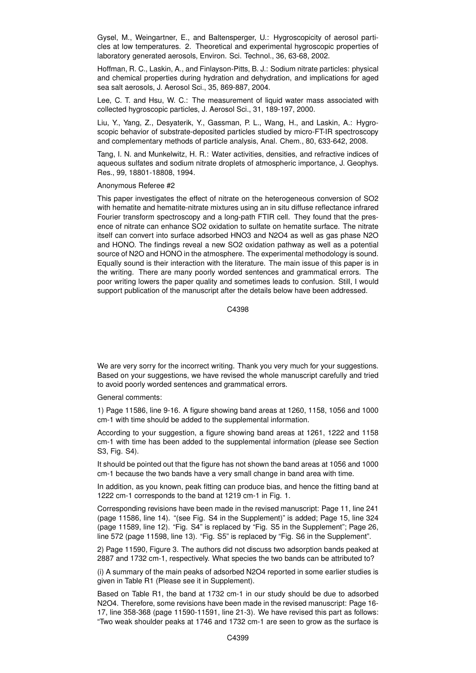Gysel, M., Weingartner, E., and Baltensperger, U.: Hygroscopicity of aerosol particles at low temperatures. 2. Theoretical and experimental hygroscopic properties of laboratory generated aerosols, Environ. Sci. Technol., 36, 63-68, 2002.

Hoffman, R. C., Laskin, A., and Finlayson-Pitts, B. J.: Sodium nitrate particles: physical and chemical properties during hydration and dehydration, and implications for aged sea salt aerosols, J. Aerosol Sci., 35, 869-887, 2004.

Lee, C. T. and Hsu, W. C.: The measurement of liquid water mass associated with collected hygroscopic particles, J. Aerosol Sci., 31, 189-197, 2000.

Liu, Y., Yang, Z., Desyaterik, Y., Gassman, P. L., Wang, H., and Laskin, A.: Hygroscopic behavior of substrate-deposited particles studied by micro-FT-IR spectroscopy and complementary methods of particle analysis, Anal. Chem., 80, 633-642, 2008.

Tang, I. N. and Munkelwitz, H. R.: Water activities, densities, and refractive indices of aqueous sulfates and sodium nitrate droplets of atmospheric importance, J. Geophys. Res., 99, 18801-18808, 1994.

#### Anonymous Referee #2

This paper investigates the effect of nitrate on the heterogeneous conversion of SO2 with hematite and hematite-nitrate mixtures using an in situ diffuse reflectance infrared Fourier transform spectroscopy and a long-path FTIR cell. They found that the presence of nitrate can enhance SO2 oxidation to sulfate on hematite surface. The nitrate itself can convert into surface adsorbed HNO3 and N2O4 as well as gas phase N2O and HONO. The findings reveal a new SO2 oxidation pathway as well as a potential source of N2O and HONO in the atmosphere. The experimental methodology is sound. Equally sound is their interaction with the literature. The main issue of this paper is in the writing. There are many poorly worded sentences and grammatical errors. The poor writing lowers the paper quality and sometimes leads to confusion. Still, I would support publication of the manuscript after the details below have been addressed.

C4398

We are very sorry for the incorrect writing. Thank you very much for your suggestions. Based on your suggestions, we have revised the whole manuscript carefully and tried to avoid poorly worded sentences and grammatical errors.

General comments:

1) Page 11586, line 9-16. A figure showing band areas at 1260, 1158, 1056 and 1000 cm-1 with time should be added to the supplemental information.

According to your suggestion, a figure showing band areas at 1261, 1222 and 1158 cm-1 with time has been added to the supplemental information (please see Section S3, Fig. S4).

It should be pointed out that the figure has not shown the band areas at 1056 and 1000 cm-1 because the two bands have a very small change in band area with time.

In addition, as you known, peak fitting can produce bias, and hence the fitting band at 1222 cm-1 corresponds to the band at 1219 cm-1 in Fig. 1.

Corresponding revisions have been made in the revised manuscript: Page 11, line 241 (page 11586, line 14). "(see Fig. S4 in the Supplement)" is added; Page 15, line 324 (page 11589, line 12). "Fig. S4" is replaced by "Fig. S5 in the Supplement"; Page 26, line 572 (page 11598, line 13). "Fig. S5" is replaced by "Fig. S6 in the Supplement".

2) Page 11590, Figure 3. The authors did not discuss two adsorption bands peaked at 2887 and 1732 cm-1, respectively. What species the two bands can be attributed to?

(i) A summary of the main peaks of adsorbed N2O4 reported in some earlier studies is given in Table R1 (Please see it in Supplement).

Based on Table R1, the band at 1732 cm-1 in our study should be due to adsorbed N2O4. Therefore, some revisions have been made in the revised manuscript: Page 16- 17, line 358-368 (page 11590-11591, line 21-3). We have revised this part as follows: "Two weak shoulder peaks at 1746 and 1732 cm-1 are seen to grow as the surface is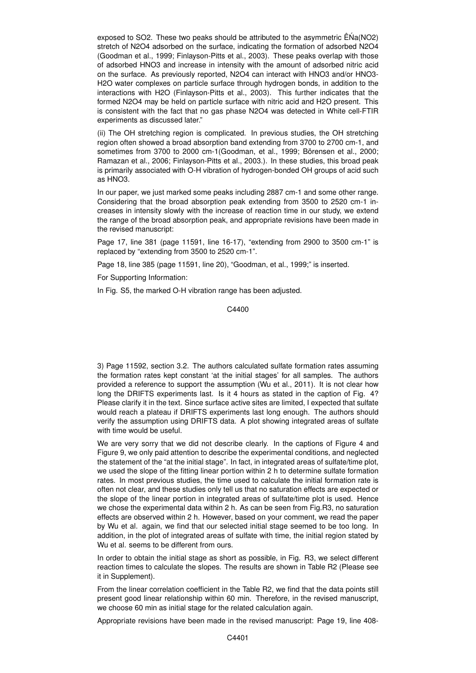exposed to SO2. These two peaks should be attributed to the asymmetric  $\hat{E}NA(NO2)$ stretch of N2O4 adsorbed on the surface, indicating the formation of adsorbed N2O4 (Goodman et al., 1999; Finlayson-Pitts et al., 2003). These peaks overlap with those of adsorbed HNO3 and increase in intensity with the amount of adsorbed nitric acid on the surface. As previously reported, N2O4 can interact with HNO3 and/or HNO3- H2O water complexes on particle surface through hydrogen bonds, in addition to the interactions with H2O (Finlayson-Pitts et al., 2003). This further indicates that the formed N2O4 may be held on particle surface with nitric acid and H2O present. This is consistent with the fact that no gas phase N2O4 was detected in White cell-FTIR experiments as discussed later."

(ii) The OH stretching region is complicated. In previous studies, the OH stretching region often showed a broad absorption band extending from 3700 to 2700 cm-1, and sometimes from 3700 to 2000 cm-1(Goodman, et al., 1999; Börensen et al., 2000; Ramazan et al., 2006; Finlayson-Pitts et al., 2003.). In these studies, this broad peak is primarily associated with O-H vibration of hydrogen-bonded OH groups of acid such as HNO3.

In our paper, we just marked some peaks including 2887 cm-1 and some other range. Considering that the broad absorption peak extending from 3500 to 2520 cm-1 increases in intensity slowly with the increase of reaction time in our study, we extend the range of the broad absorption peak, and appropriate revisions have been made in the revised manuscript:

Page 17, line 381 (page 11591, line 16-17), "extending from 2900 to 3500 cm-1" is replaced by "extending from 3500 to 2520 cm-1".

Page 18, line 385 (page 11591, line 20), "Goodman, et al., 1999;" is inserted.

For Supporting Information:

In Fig. S5, the marked O-H vibration range has been adjusted.

C4400

3) Page 11592, section 3.2. The authors calculated sulfate formation rates assuming the formation rates kept constant 'at the initial stages' for all samples. The authors provided a reference to support the assumption (Wu et al., 2011). It is not clear how long the DRIFTS experiments last. Is it 4 hours as stated in the caption of Fig. 4? Please clarify it in the text. Since surface active sites are limited, I expected that sulfate would reach a plateau if DRIFTS experiments last long enough. The authors should verify the assumption using DRIFTS data. A plot showing integrated areas of sulfate with time would be useful.

We are very sorry that we did not describe clearly. In the captions of Figure 4 and Figure 9, we only paid attention to describe the experimental conditions, and neglected the statement of the "at the initial stage". In fact, in integrated areas of sulfate/time plot, we used the slope of the fitting linear portion within 2 h to determine sulfate formation rates. In most previous studies, the time used to calculate the initial formation rate is often not clear, and these studies only tell us that no saturation effects are expected or the slope of the linear portion in integrated areas of sulfate/time plot is used. Hence we chose the experimental data within 2 h. As can be seen from Fig.R3, no saturation effects are observed within 2 h. However, based on your comment, we read the paper by Wu et al. again, we find that our selected initial stage seemed to be too long. In addition, in the plot of integrated areas of sulfate with time, the initial region stated by Wu et al. seems to be different from ours.

In order to obtain the initial stage as short as possible, in Fig. R3, we select different reaction times to calculate the slopes. The results are shown in Table R2 (Please see it in Supplement).

From the linear correlation coefficient in the Table R2, we find that the data points still present good linear relationship within 60 min. Therefore, in the revised manuscript, we choose 60 min as initial stage for the related calculation again.

Appropriate revisions have been made in the revised manuscript: Page 19, line 408-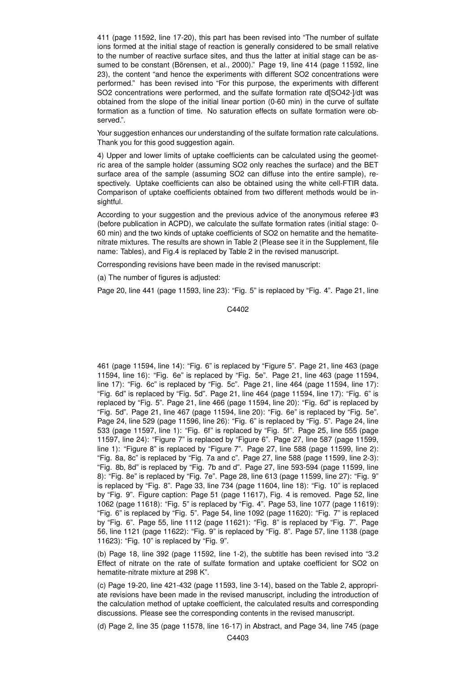411 (page 11592, line 17-20), this part has been revised into "The number of sulfate ions formed at the initial stage of reaction is generally considered to be small relative to the number of reactive surface sites, and thus the latter at initial stage can be assumed to be constant (Börensen, et al., 2000)." Page 19, line 414 (page 11592, line 23), the content "and hence the experiments with different SO2 concentrations were performed." has been revised into "For this purpose, the experiments with different SO2 concentrations were performed, and the sulfate formation rate d[SO42-]/dt was obtained from the slope of the initial linear portion (0-60 min) in the curve of sulfate formation as a function of time. No saturation effects on sulfate formation were observed.".

Your suggestion enhances our understanding of the sulfate formation rate calculations. Thank you for this good suggestion again.

4) Upper and lower limits of uptake coefficients can be calculated using the geometric area of the sample holder (assuming SO2 only reaches the surface) and the BET surface area of the sample (assuming SO2 can diffuse into the entire sample), respectively. Uptake coefficients can also be obtained using the white cell-FTIR data. Comparison of uptake coefficients obtained from two different methods would be insightful.

According to your suggestion and the previous advice of the anonymous referee #3 (before publication in ACPD), we calculate the sulfate formation rates (initial stage: 0- 60 min) and the two kinds of uptake coefficients of SO2 on hematite and the hematitenitrate mixtures. The results are shown in Table 2 (Please see it in the Supplement, file name: Tables), and Fig.4 is replaced by Table 2 in the revised manuscript.

Corresponding revisions have been made in the revised manuscript:

(a) The number of figures is adjusted:

Page 20, line 441 (page 11593, line 23): "Fig. 5" is replaced by "Fig. 4". Page 21, line

C4402

461 (page 11594, line 14): "Fig. 6" is replaced by "Figure 5". Page 21, line 463 (page 11594, line 16): "Fig. 6e" is replaced by "Fig. 5e". Page 21, line 463 (page 11594, line 17): "Fig. 6c" is replaced by "Fig. 5c". Page 21, line 464 (page 11594, line 17): "Fig. 6d" is replaced by "Fig. 5d". Page 21, line 464 (page 11594, line 17): "Fig. 6" is replaced by "Fig. 5". Page 21, line 466 (page 11594, line 20): "Fig. 6d" is replaced by "Fig. 5d". Page 21, line 467 (page 11594, line 20): "Fig. 6e" is replaced by "Fig. 5e". Page 24, line 529 (page 11596, line 26): "Fig. 6" is replaced by "Fig. 5". Page 24, line 533 (page 11597, line 1): "Fig. 6f" is replaced by "Fig. 5f". Page 25, line 555 (page 11597, line 24): "Figure 7" is replaced by "Figure 6". Page 27, line 587 (page 11599, line 1): "Figure 8" is replaced by "Figure 7". Page 27, line 588 (page 11599, line 2): "Fig. 8a, 8c" is replaced by "Fig. 7a and c". Page 27, line 588 (page 11599, line 2-3): "Fig. 8b, 8d" is replaced by "Fig. 7b and d". Page 27, line 593-594 (page 11599, line 8): "Fig. 8e" is replaced by "Fig. 7e". Page 28, line 613 (page 11599, line 27): "Fig. 9" is replaced by "Fig. 8". Page 33, line 734 (page 11604, line 18): "Fig. 10" is replaced by "Fig. 9". Figure caption: Page 51 (page 11617), Fig. 4 is removed. Page 52, line 1062 (page 11618): "Fig. 5" is replaced by "Fig. 4". Page 53, line 1077 (page 11619): "Fig. 6" is replaced by "Fig. 5". Page 54, line 1092 (page 11620): "Fig. 7" is replaced by "Fig. 6". Page 55, line 1112 (page 11621): "Fig. 8" is replaced by "Fig. 7". Page 56, line 1121 (page 11622): "Fig. 9" is replaced by "Fig. 8". Page 57, line 1138 (page 11623): "Fig. 10" is replaced by "Fig. 9".

(b) Page 18, line 392 (page 11592, line 1-2), the subtitle has been revised into "3.2 Effect of nitrate on the rate of sulfate formation and uptake coefficient for SO2 on hematite-nitrate mixture at 298 K".

 $\alpha$ ) Page 19-20, line 421-432 (page 11593, line 3-14), based on the Table 2, appropriate revisions have been made in the revised manuscript, including the introduction of the calculation method of uptake coefficient, the calculated results and corresponding discussions. Please see the corresponding contents in the revised manuscript.

(d) Page 2, line 35 (page 11578, line 16-17) in Abstract, and Page 34, line 745 (page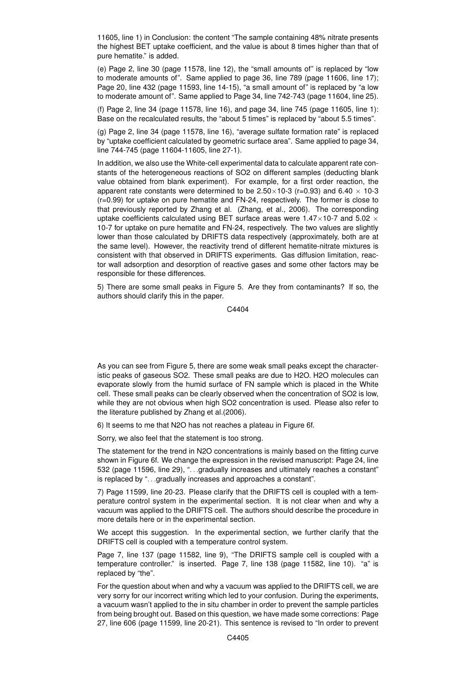11605, line 1) in Conclusion: the content "The sample containing 48% nitrate presents the highest BET uptake coefficient, and the value is about 8 times higher than that of pure hematite." is added.

(e) Page 2, line 30 (page 11578, line 12), the "small amounts of" is replaced by "low to moderate amounts of". Same applied to page 36, line 789 (page 11606, line 17); Page 20, line 432 (page 11593, line 14-15), "a small amount of" is replaced by "a low to moderate amount of". Same applied to Page 34, line 742-743 (page 11604, line 25).

(f) Page 2, line 34 (page 11578, line 16), and page 34, line 745 (page 11605, line 1): Base on the recalculated results, the "about 5 times" is replaced by "about 5.5 times".

(g) Page 2, line 34 (page 11578, line 16), "average sulfate formation rate" is replaced by "uptake coefficient calculated by geometric surface area". Same applied to page 34, line 744-745 (page 11604-11605, line 27-1).

In addition, we also use the White-cell experimental data to calculate apparent rate constants of the heterogeneous reactions of SO2 on different samples (deducting blank value obtained from blank experiment). For example, for a first order reaction, the apparent rate constants were determined to be  $2.50 \times 10^{-3}$  (r=0.93) and 6.40  $\times$  10-3 (r=0.99) for uptake on pure hematite and FN-24, respectively. The former is close to that previously reported by Zhang et al. (Zhang, et al., 2006). The corresponding uptake coefficients calculated using BET surface areas were 1.47 $\times$ 10-7 and 5.02  $\times$ 10-7 for uptake on pure hematite and FN-24, respectively. The two values are slightly lower than those calculated by DRIFTS data respectively (approximately, both are at the same level). However, the reactivity trend of different hematite-nitrate mixtures is consistent with that observed in DRIFTS experiments. Gas diffusion limitation, reactor wall adsorption and desorption of reactive gases and some other factors may be responsible for these differences.

5) There are some small peaks in Figure 5. Are they from contaminants? If so, the authors should clarify this in the paper.

C4404

As you can see from Figure 5, there are some weak small peaks except the characteristic peaks of gaseous SO2. These small peaks are due to H2O. H2O molecules can evaporate slowly from the humid surface of FN sample which is placed in the White cell. These small peaks can be clearly observed when the concentration of SO2 is low, while they are not obvious when high SO2 concentration is used. Please also refer to the literature published by Zhang et al.(2006).

6) It seems to me that N2O has not reaches a plateau in Figure 6f.

Sorry, we also feel that the statement is too strong.

The statement for the trend in N2O concentrations is mainly based on the fitting curve shown in Figure 6f. We change the expression in the revised manuscript: Page 24, line 532 (page 11596, line 29), ". . .gradually increases and ultimately reaches a constant" is replaced by ". . .gradually increases and approaches a constant".

7) Page 11599, line 20-23. Please clarify that the DRIFTS cell is coupled with a temperature control system in the experimental section. It is not clear when and why a vacuum was applied to the DRIFTS cell. The authors should describe the procedure in more details here or in the experimental section.

We accept this suggestion. In the experimental section, we further clarify that the DRIFTS cell is coupled with a temperature control system.

Page 7, line 137 (page 11582, line 9), "The DRIFTS sample cell is coupled with a temperature controller." is inserted. Page 7, line 138 (page 11582, line 10). "a" is replaced by "the".

For the question about when and why a vacuum was applied to the DRIFTS cell, we are very sorry for our incorrect writing which led to your confusion. During the experiments, a vacuum wasn't applied to the in situ chamber in order to prevent the sample particles from being brought out. Based on this question, we have made some corrections: Page 27, line 606 (page 11599, line 20-21). This sentence is revised to "In order to prevent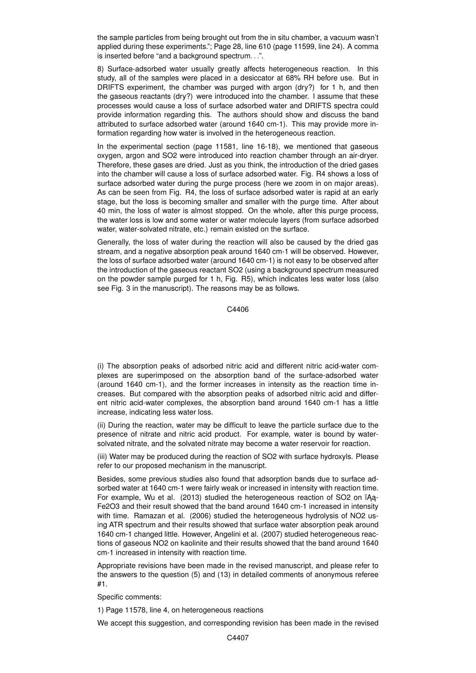the sample particles from being brought out from the in situ chamber, a vacuum wasn't applied during these experiments."; Page 28, line 610 (page 11599, line 24). A comma is inserted before "and a background spectrum. . .".

8) Surface-adsorbed water usually greatly affects heterogeneous reaction. In this study, all of the samples were placed in a desiccator at 68% RH before use. But in DRIFTS experiment, the chamber was purged with argon (dry?) for 1 h, and then the gaseous reactants (dry?) were introduced into the chamber. I assume that these processes would cause a loss of surface adsorbed water and DRIFTS spectra could provide information regarding this. The authors should show and discuss the band attributed to surface adsorbed water (around 1640 cm-1). This may provide more information regarding how water is involved in the heterogeneous reaction.

In the experimental section (page 11581, line 16-18), we mentioned that gaseous oxygen, argon and SO2 were introduced into reaction chamber through an air-dryer. Therefore, these gases are dried. Just as you think, the introduction of the dried gases into the chamber will cause a loss of surface adsorbed water. Fig. R4 shows a loss of surface adsorbed water during the purge process (here we zoom in on major areas). As can be seen from Fig. R4, the loss of surface adsorbed water is rapid at an early stage, but the loss is becoming smaller and smaller with the purge time. After about 40 min, the loss of water is almost stopped. On the whole, after this purge process, the water loss is low and some water or water molecule layers (from surface adsorbed water, water-solvated nitrate, etc.) remain existed on the surface.

Generally, the loss of water during the reaction will also be caused by the dried gas stream, and a negative absorption peak around 1640 cm-1 will be observed. However, the loss of surface adsorbed water (around 1640 cm-1) is not easy to be observed after the introduction of the gaseous reactant SO2 (using a background spectrum measured on the powder sample purged for 1 h, Fig. R5), which indicates less water loss (also see Fig. 3 in the manuscript). The reasons may be as follows.

C4406

(i) The absorption peaks of adsorbed nitric acid and different nitric acid-water complexes are superimposed on the absorption band of the surface-adsorbed water (around 1640 cm-1), and the former increases in intensity as the reaction time increases. But compared with the absorption peaks of adsorbed nitric acid and different nitric acid-water complexes, the absorption band around 1640 cm-1 has a little increase, indicating less water loss.

(ii) During the reaction, water may be difficult to leave the particle surface due to the presence of nitrate and nitric acid product. For example, water is bound by watersolvated nitrate, and the solvated nitrate may become a water reservoir for reaction.

(iii) Water may be produced during the reaction of SO2 with surface hydroxyls. Please refer to our proposed mechanism in the manuscript.

Besides, some previous studies also found that adsorption bands due to surface adsorbed water at 1640 cm-1 were fairly weak or increased in intensity with reaction time. For example, Wu et al. (2013) studied the heterogeneous reaction of SO2 on ïAa-Fe2O3 and their result showed that the band around 1640 cm-1 increased in intensity with time. Ramazan et al. (2006) studied the heterogeneous hydrolysis of NO2 using ATR spectrum and their results showed that surface water absorption peak around 1640 cm-1 changed little. However, Angelini et al. (2007) studied heterogeneous reactions of gaseous NO2 on kaolinite and their results showed that the band around 1640 cm-1 increased in intensity with reaction time.

Appropriate revisions have been made in the revised manuscript, and please refer to the answers to the question (5) and (13) in detailed comments of anonymous referee #1.

Specific comments:

1) Page 11578, line 4, on heterogeneous reactions

We accept this suggestion, and corresponding revision has been made in the revised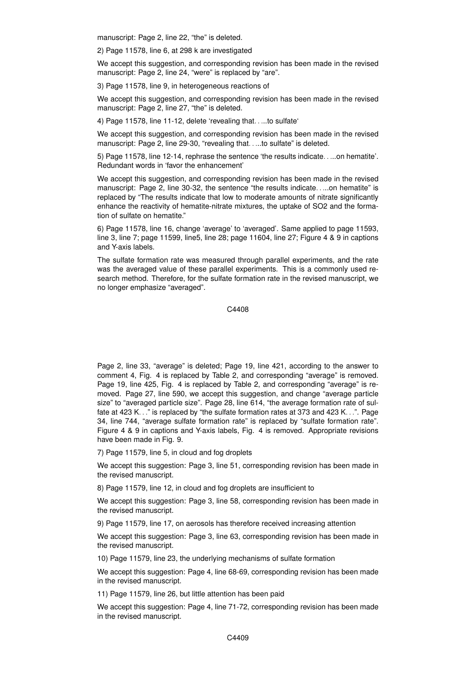manuscript: Page 2, line 22, "the" is deleted.

2) Page 11578, line 6, at 298 k are investigated

We accept this suggestion, and corresponding revision has been made in the revised manuscript: Page 2, line 24, "were" is replaced by "are".

3) Page 11578, line 9, in heterogeneous reactions of

We accept this suggestion, and corresponding revision has been made in the revised manuscript: Page 2, line 27, "the" is deleted.

4) Page 11578, line 11-12, delete 'revealing that. . ...to sulfate'

We accept this suggestion, and corresponding revision has been made in the revised manuscript: Page 2, line 29-30, "revealing that. ....to sulfate" is deleted.

5) Page 11578, line 12-14, rephrase the sentence 'the results indicate. . ...on hematite'. Redundant words in 'favor the enhancement'

We accept this suggestion, and corresponding revision has been made in the revised manuscript: Page 2, line 30-32, the sentence "the results indicate. . ...on hematite" is replaced by "The results indicate that low to moderate amounts of nitrate significantly enhance the reactivity of hematite-nitrate mixtures, the uptake of SO2 and the formation of sulfate on hematite."

6) Page 11578, line 16, change 'average' to 'averaged'. Same applied to page 11593, line 3, line 7; page 11599, line5, line 28; page 11604, line 27; Figure 4 & 9 in captions and Y-axis labels.

The sulfate formation rate was measured through parallel experiments, and the rate was the averaged value of these parallel experiments. This is a commonly used research method. Therefore, for the sulfate formation rate in the revised manuscript, we no longer emphasize "averaged".

C4408

Page 2, line 33, "average" is deleted; Page 19, line 421, according to the answer to comment 4, Fig. 4 is replaced by Table 2, and corresponding "average" is removed. Page 19, line 425, Fig. 4 is replaced by Table 2, and corresponding "average" is removed. Page 27, line 590, we accept this suggestion, and change "average particle size" to "averaged particle size". Page 28, line 614, "the average formation rate of sulfate at 423 K. . ." is replaced by "the sulfate formation rates at 373 and 423 K. . .". Page 34, line 744, "average sulfate formation rate" is replaced by "sulfate formation rate". Figure 4 & 9 in captions and Y-axis labels, Fig. 4 is removed. Appropriate revisions have been made in Fig. 9.

7) Page 11579, line 5, in cloud and fog droplets

We accept this suggestion: Page 3, line 51, corresponding revision has been made in the revised manuscript.

8) Page 11579, line 12, in cloud and fog droplets are insufficient to

We accept this suggestion: Page 3, line 58, corresponding revision has been made in the revised manuscript.

9) Page 11579, line 17, on aerosols has therefore received increasing attention

We accept this suggestion: Page 3, line 63, corresponding revision has been made in the revised manuscript.

10) Page 11579, line 23, the underlying mechanisms of sulfate formation

We accept this suggestion: Page 4, line 68-69, corresponding revision has been made in the revised manuscript.

11) Page 11579, line 26, but little attention has been paid

We accept this suggestion: Page 4, line 71-72, corresponding revision has been made in the revised manuscript.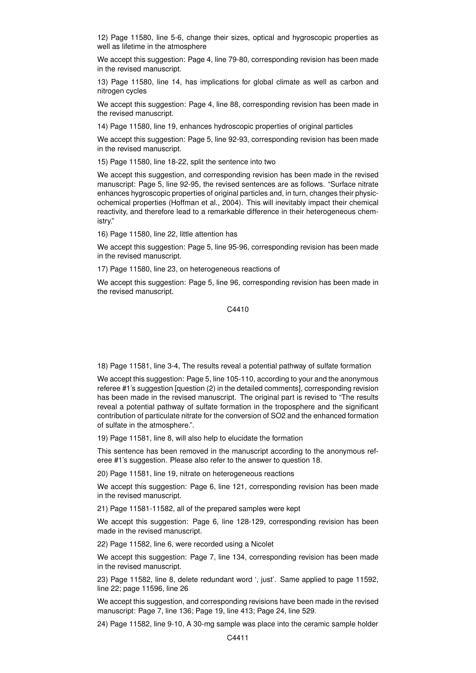12) Page 11580, line 5-6, change their sizes, optical and hygroscopic properties as well as lifetime in the atmosphere

We accept this suggestion: Page 4, line 79-80, corresponding revision has been made in the revised manuscript.

13) Page 11580, line 14, has implications for global climate as well as carbon and nitrogen cycles

We accept this suggestion: Page 4, line 88, corresponding revision has been made in the revised manuscript.

14) Page 11580, line 19, enhances hydroscopic properties of original particles

We accept this suggestion: Page 5, line 92-93, corresponding revision has been made in the revised manuscript.

15) Page 11580, line 18-22, split the sentence into two

We accept this suggestion, and corresponding revision has been made in the revised manuscript: Page 5, line 92-95, the revised sentences are as follows. "Surface nitrate enhances hygroscopic properties of original particles and, in turn, changes their physicochemical properties (Hoffman et al., 2004). This will inevitably impact their chemical reactivity, and therefore lead to a remarkable difference in their heterogeneous chemistry."

16) Page 11580, line 22, little attention has

We accept this suggestion: Page 5, line 95-96, corresponding revision has been made in the revised manuscript.

17) Page 11580, line 23, on heterogeneous reactions of

We accept this suggestion: Page 5, line 96, corresponding revision has been made in the revised manuscript.

C4410

18) Page 11581, line 3-4, The results reveal a potential pathway of sulfate formation

We accept this suggestion: Page 5, line 105-110, according to your and the anonymous referee #1's suggestion [question (2) in the detailed comments], corresponding revision has been made in the revised manuscript. The original part is revised to "The results reveal a potential pathway of sulfate formation in the troposphere and the significant contribution of particulate nitrate for the conversion of SO2 and the enhanced formation of sulfate in the atmosphere.".

19) Page 11581, line 8, will also help to elucidate the formation

This sentence has been removed in the manuscript according to the anonymous referee #1's suggestion. Please also refer to the answer to question 18.

20) Page 11581, line 19, nitrate on heterogeneous reactions

We accept this suggestion: Page 6, line 121, corresponding revision has been made in the revised manuscript.

21) Page 11581-11582, all of the prepared samples were kept

We accept this suggestion: Page 6, line 128-129, corresponding revision has been made in the revised manuscript.

22) Page 11582, line 6, were recorded using a Nicolet

We accept this suggestion: Page 7, line 134, corresponding revision has been made in the revised manuscript.

23) Page 11582, line 8, delete redundant word ', just'. Same applied to page 11592, line 22; page 11596, line 26

We accept this suggestion, and corresponding revisions have been made in the revised manuscript: Page 7, line 136; Page 19, line 413; Page 24, line 529.

24) Page 11582, line 9-10, A 30-mg sample was place into the ceramic sample holder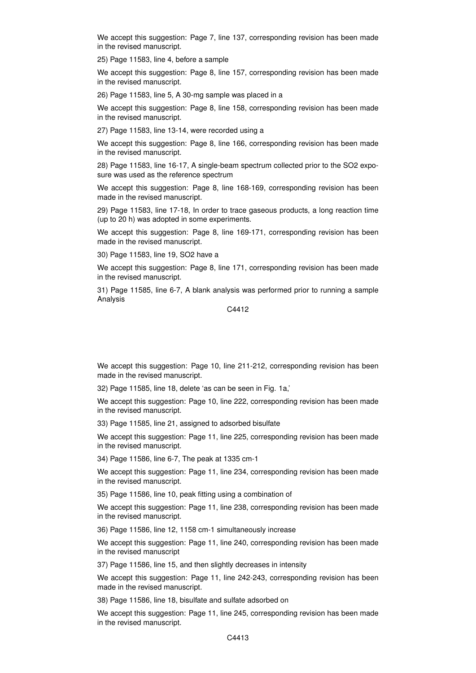We accept this suggestion: Page 7, line 137, corresponding revision has been made in the revised manuscript.

25) Page 11583, line 4, before a sample

We accept this suggestion: Page 8, line 157, corresponding revision has been made in the revised manuscript.

26) Page 11583, line 5, A 30-mg sample was placed in a

We accept this suggestion: Page 8, line 158, corresponding revision has been made in the revised manuscript.

27) Page 11583, line 13-14, were recorded using a

We accept this suggestion: Page 8, line 166, corresponding revision has been made in the revised manuscript.

28) Page 11583, line 16-17, A single-beam spectrum collected prior to the SO2 exposure was used as the reference spectrum

We accept this suggestion: Page 8, line 168-169, corresponding revision has been made in the revised manuscript.

29) Page 11583, line 17-18, In order to trace gaseous products, a long reaction time (up to 20 h) was adopted in some experiments.

We accept this suggestion: Page 8, line 169-171, corresponding revision has been made in the revised manuscript.

30) Page 11583, line 19, SO2 have a

We accept this suggestion: Page 8, line 171, corresponding revision has been made in the revised manuscript.

31) Page 11585, line 6-7, A blank analysis was performed prior to running a sample Analysis

C4412

We accept this suggestion: Page 10, line 211-212, corresponding revision has been made in the revised manuscript.

32) Page 11585, line 18, delete 'as can be seen in Fig. 1a,'

We accept this suggestion: Page 10, line 222, corresponding revision has been made in the revised manuscript.

33) Page 11585, line 21, assigned to adsorbed bisulfate

We accept this suggestion: Page 11, line 225, corresponding revision has been made in the revised manuscript.

34) Page 11586, line 6-7, The peak at 1335 cm-1

We accept this suggestion: Page 11, line 234, corresponding revision has been made in the revised manuscript.

35) Page 11586, line 10, peak fitting using a combination of

We accept this suggestion: Page 11, line 238, corresponding revision has been made in the revised manuscript.

36) Page 11586, line 12, 1158 cm-1 simultaneously increase

We accept this suggestion: Page 11, line 240, corresponding revision has been made in the revised manuscript

37) Page 11586, line 15, and then slightly decreases in intensity

We accept this suggestion: Page 11, line 242-243, corresponding revision has been made in the revised manuscript.

38) Page 11586, line 18, bisulfate and sulfate adsorbed on

We accept this suggestion: Page 11, line 245, corresponding revision has been made in the revised manuscript.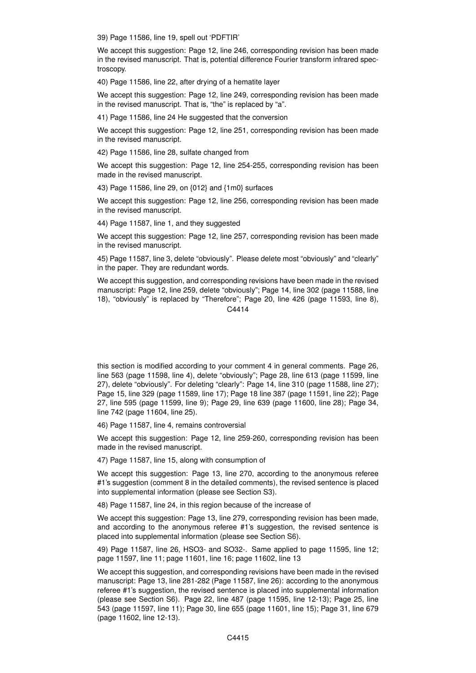39) Page 11586, line 19, spell out 'PDFTIR'

We accept this suggestion: Page 12, line 246, corresponding revision has been made in the revised manuscript. That is, potential difference Fourier transform infrared spectroscopy.

40) Page 11586, line 22, after drying of a hematite layer

We accept this suggestion: Page 12, line 249, corresponding revision has been made in the revised manuscript. That is, "the" is replaced by "a".

41) Page 11586, line 24 He suggested that the conversion

We accept this suggestion: Page 12, line 251, corresponding revision has been made in the revised manuscript.

42) Page 11586, line 28, sulfate changed from

We accept this suggestion: Page 12, line 254-255, corresponding revision has been made in the revised manuscript.

43) Page 11586, line 29, on {012} and {1m0} surfaces

We accept this suggestion: Page 12, line 256, corresponding revision has been made in the revised manuscript.

44) Page 11587, line 1, and they suggested

We accept this suggestion: Page 12, line 257, corresponding revision has been made in the revised manuscript.

45) Page 11587, line 3, delete "obviously". Please delete most "obviously" and "clearly" in the paper. They are redundant words.

We accept this suggestion, and corresponding revisions have been made in the revised manuscript: Page 12, line 259, delete "obviously"; Page 14, line 302 (page 11588, line 18), "obviously" is replaced by "Therefore"; Page 20, line 426 (page 11593, line 8), C<sub>4414</sub>

this section is modified according to your comment 4 in general comments. Page 26, line 563 (page 11598, line 4), delete "obviously"; Page 28, line 613 (page 11599, line 27), delete "obviously". For deleting "clearly": Page 14, line 310 (page 11588, line 27); Page 15, line 329 (page 11589, line 17); Page 18 line 387 (page 11591, line 22); Page 27, line 595 (page 11599, line 9); Page 29, line 639 (page 11600, line 28); Page 34, line 742 (page 11604, line 25).

46) Page 11587, line 4, remains controversial

We accept this suggestion: Page 12, line 259-260, corresponding revision has been made in the revised manuscript.

47) Page 11587, line 15, along with consumption of

We accept this suggestion: Page 13, line 270, according to the anonymous referee #1's suggestion (comment 8 in the detailed comments), the revised sentence is placed into supplemental information (please see Section S3).

48) Page 11587, line 24, in this region because of the increase of

We accept this suggestion: Page 13, line 279, corresponding revision has been made, and according to the anonymous referee #1's suggestion, the revised sentence is placed into supplemental information (please see Section S6).

49) Page 11587, line 26, HSO3- and SO32-. Same applied to page 11595, line 12; page 11597, line 11; page 11601, line 16; page 11602, line 13

We accept this suggestion, and corresponding revisions have been made in the revised manuscript: Page 13, line 281-282 (Page 11587, line 26): according to the anonymous referee #1's suggestion, the revised sentence is placed into supplemental information (please see Section S6). Page 22, line 487 (page 11595, line 12-13); Page 25, line 543 (page 11597, line 11); Page 30, line 655 (page 11601, line 15); Page 31, line 679 (page 11602, line 12-13).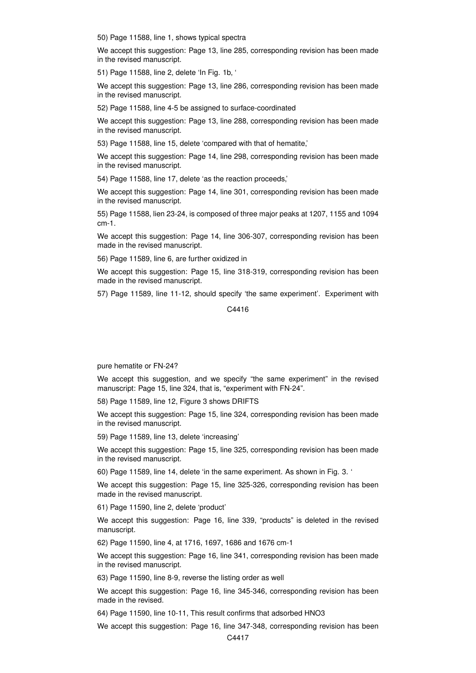50) Page 11588, line 1, shows typical spectra

We accept this suggestion: Page 13, line 285, corresponding revision has been made in the revised manuscript.

51) Page 11588, line 2, delete 'In Fig. 1b, '

We accept this suggestion: Page 13, line 286, corresponding revision has been made in the revised manuscript.

52) Page 11588, line 4-5 be assigned to surface-coordinated

We accept this suggestion: Page 13, line 288, corresponding revision has been made in the revised manuscript.

53) Page 11588, line 15, delete 'compared with that of hematite,'

We accept this suggestion: Page 14, line 298, corresponding revision has been made in the revised manuscript.

54) Page 11588, line 17, delete 'as the reaction proceeds,'

We accept this suggestion: Page 14, line 301, corresponding revision has been made in the revised manuscript.

55) Page 11588, lien 23-24, is composed of three major peaks at 1207, 1155 and 1094 cm-1.

We accept this suggestion: Page 14, line 306-307, corresponding revision has been made in the revised manuscript.

56) Page 11589, line 6, are further oxidized in

We accept this suggestion: Page 15, line 318-319, corresponding revision has been made in the revised manuscript.

57) Page 11589, line 11-12, should specify 'the same experiment'. Experiment with

C4416

pure hematite or FN-24?

We accept this suggestion, and we specify "the same experiment" in the revised manuscript: Page 15, line 324, that is, "experiment with FN-24".

58) Page 11589, line 12, Figure 3 shows DRIFTS

We accept this suggestion: Page 15, line 324, corresponding revision has been made in the revised manuscript.

59) Page 11589, line 13, delete 'increasing'

We accept this suggestion: Page 15, line 325, corresponding revision has been made in the revised manuscript.

60) Page 11589, line 14, delete 'in the same experiment. As shown in Fig. 3. '

We accept this suggestion: Page 15, line 325-326, corresponding revision has been made in the revised manuscript.

61) Page 11590, line 2, delete 'product'

We accept this suggestion: Page 16, line 339, "products" is deleted in the revised manuscript.

62) Page 11590, line 4, at 1716, 1697, 1686 and 1676 cm-1

We accept this suggestion: Page 16, line 341, corresponding revision has been made in the revised manuscript.

63) Page 11590, line 8-9, reverse the listing order as well

We accept this suggestion: Page 16, line 345-346, corresponding revision has been made in the revised.

64) Page 11590, line 10-11, This result confirms that adsorbed HNO3

We accept this suggestion: Page 16, line 347-348, corresponding revision has been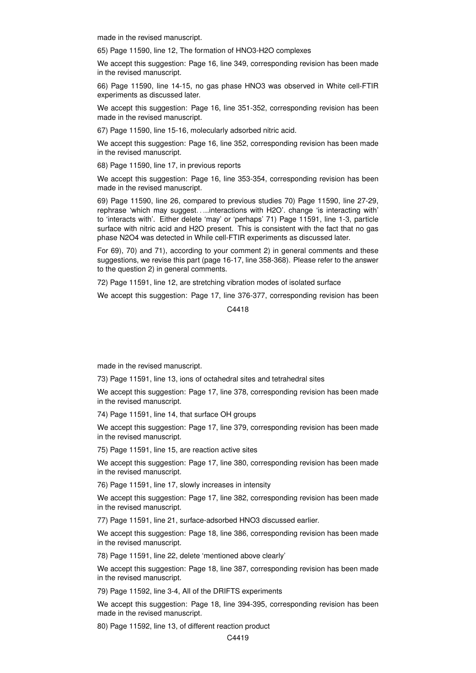made in the revised manuscript.

65) Page 11590, line 12, The formation of HNO3-H2O complexes

We accept this suggestion: Page 16, line 349, corresponding revision has been made in the revised manuscript.

66) Page 11590, line 14-15, no gas phase HNO3 was observed in White cell-FTIR experiments as discussed later.

We accept this suggestion: Page 16, line 351-352, corresponding revision has been made in the revised manuscript.

67) Page 11590, line 15-16, molecularly adsorbed nitric acid.

We accept this suggestion: Page 16, line 352, corresponding revision has been made in the revised manuscript.

68) Page 11590, line 17, in previous reports

We accept this suggestion: Page 16, line 353-354, corresponding revision has been made in the revised manuscript.

69) Page 11590, line 26, compared to previous studies 70) Page 11590, line 27-29, rephrase 'which may suggest. . ...interactions with H2O'. change 'is interacting with' to 'interacts with'. Either delete 'may' or 'perhaps' 71) Page 11591, line 1-3, particle surface with nitric acid and H2O present. This is consistent with the fact that no gas phase N2O4 was detected in While cell-FTIR experiments as discussed later.

For 69), 70) and 71), according to your comment 2) in general comments and these suggestions, we revise this part (page 16-17, line 358-368). Please refer to the answer to the question 2) in general comments.

72) Page 11591, line 12, are stretching vibration modes of isolated surface

We accept this suggestion: Page 17, line 376-377, corresponding revision has been

C4418

made in the revised manuscript.

73) Page 11591, line 13, ions of octahedral sites and tetrahedral sites

We accept this suggestion: Page 17, line 378, corresponding revision has been made in the revised manuscript.

74) Page 11591, line 14, that surface OH groups

We accept this suggestion: Page 17, line 379, corresponding revision has been made in the revised manuscript.

75) Page 11591, line 15, are reaction active sites

We accept this suggestion: Page 17, line 380, corresponding revision has been made in the revised manuscript.

76) Page 11591, line 17, slowly increases in intensity

We accept this suggestion: Page 17, line 382, corresponding revision has been made in the revised manuscript.

77) Page 11591, line 21, surface-adsorbed HNO3 discussed earlier.

We accept this suggestion: Page 18, line 386, corresponding revision has been made in the revised manuscript.

78) Page 11591, line 22, delete 'mentioned above clearly'

We accept this suggestion: Page 18, line 387, corresponding revision has been made in the revised manuscript.

79) Page 11592, line 3-4, All of the DRIFTS experiments

We accept this suggestion: Page 18, line 394-395, corresponding revision has been made in the revised manuscript.

80) Page 11592, line 13, of different reaction product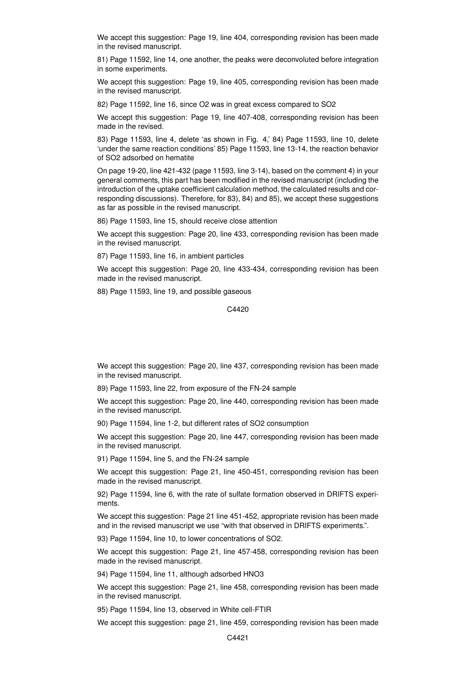We accept this suggestion: Page 19, line 404, corresponding revision has been made in the revised manuscript.

81) Page 11592, line 14, one another, the peaks were deconvoluted before integration in some experiments.

We accept this suggestion: Page 19, line 405, corresponding revision has been made in the revised manuscript.

82) Page 11592, line 16, since O2 was in great excess compared to SO2

We accept this suggestion: Page 19, line 407-408, corresponding revision has been made in the revised.

83) Page 11593, line 4, delete 'as shown in Fig. 4,' 84) Page 11593, line 10, delete 'under the same reaction conditions' 85) Page 11593, line 13-14, the reaction behavior of SO2 adsorbed on hematite

On page 19-20, line 421-432 (page 11593, line 3-14), based on the comment 4) in your general comments, this part has been modified in the revised manuscript (including the introduction of the uptake coefficient calculation method, the calculated results and corresponding discussions). Therefore, for 83), 84) and 85), we accept these suggestions as far as possible in the revised manuscript.

86) Page 11593, line 15, should receive close attention

We accept this suggestion: Page 20, line 433, corresponding revision has been made in the revised manuscript.

87) Page 11593, line 16, in ambient particles

We accept this suggestion: Page 20, line 433-434, corresponding revision has been made in the revised manuscript.

88) Page 11593, line 19, and possible gaseous

C4420

We accept this suggestion: Page 20, line 437, corresponding revision has been made in the revised manuscript.

89) Page 11593, line 22, from exposure of the FN-24 sample

We accept this suggestion: Page 20, line 440, corresponding revision has been made in the revised manuscript.

90) Page 11594, line 1-2, but different rates of SO2 consumption

We accept this suggestion: Page 20, line 447, corresponding revision has been made in the revised manuscript.

91) Page 11594, line 5, and the FN-24 sample

We accept this suggestion: Page 21, line 450-451, corresponding revision has been made in the revised manuscript.

92) Page 11594, line 6, with the rate of sulfate formation observed in DRIFTS experiments.

We accept this suggestion: Page 21 line 451-452, appropriate revision has been made and in the revised manuscript we use "with that observed in DRIFTS experiments.".

93) Page 11594, line 10, to lower concentrations of SO2.

We accept this suggestion: Page 21, line 457-458, corresponding revision has been made in the revised manuscript.

94) Page 11594, line 11, although adsorbed HNO3

We accept this suggestion: Page 21, line 458, corresponding revision has been made in the revised manuscript.

95) Page 11594, line 13, observed in White cell-FTIR

We accept this suggestion: page 21, line 459, corresponding revision has been made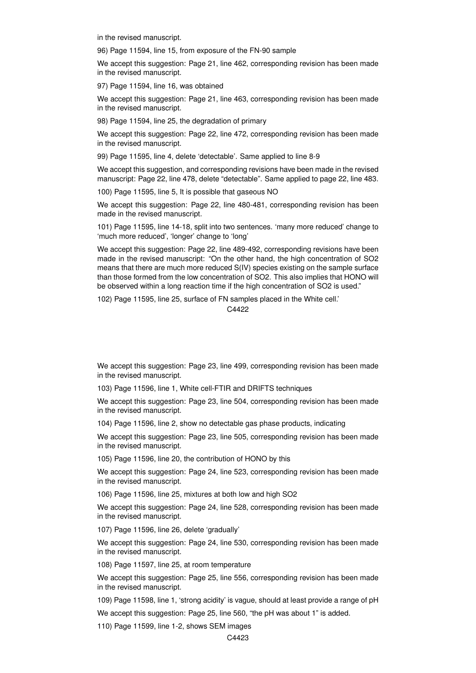in the revised manuscript.

96) Page 11594, line 15, from exposure of the FN-90 sample

We accept this suggestion: Page 21, line 462, corresponding revision has been made in the revised manuscript.

97) Page 11594, line 16, was obtained

We accept this suggestion: Page 21, line 463, corresponding revision has been made in the revised manuscript.

98) Page 11594, line 25, the degradation of primary

We accept this suggestion: Page 22, line 472, corresponding revision has been made in the revised manuscript.

99) Page 11595, line 4, delete 'detectable'. Same applied to line 8-9

We accept this suggestion, and corresponding revisions have been made in the revised manuscript: Page 22, line 478, delete "detectable". Same applied to page 22, line 483.

100) Page 11595, line 5, It is possible that gaseous NO

We accept this suggestion: Page 22, line 480-481, corresponding revision has been made in the revised manuscript.

101) Page 11595, line 14-18, split into two sentences. 'many more reduced' change to 'much more reduced', 'longer' change to 'long'

We accept this suggestion: Page 22, line 489-492, corresponding revisions have been made in the revised manuscript: "On the other hand, the high concentration of SO2 means that there are much more reduced S(IV) species existing on the sample surface than those formed from the low concentration of SO2. This also implies that HONO will be observed within a long reaction time if the high concentration of SO2 is used."

102) Page 11595, line 25, surface of FN samples placed in the White cell.'

C4422

We accept this suggestion: Page 23, line 499, corresponding revision has been made in the revised manuscript.

103) Page 11596, line 1, White cell-FTIR and DRIFTS techniques

We accept this suggestion: Page 23, line 504, corresponding revision has been made in the revised manuscript.

104) Page 11596, line 2, show no detectable gas phase products, indicating

We accept this suggestion: Page 23, line 505, corresponding revision has been made in the revised manuscript.

105) Page 11596, line 20, the contribution of HONO by this

We accept this suggestion: Page 24, line 523, corresponding revision has been made in the revised manuscript.

106) Page 11596, line 25, mixtures at both low and high SO2

We accept this suggestion: Page 24, line 528, corresponding revision has been made in the revised manuscript.

107) Page 11596, line 26, delete 'gradually'

We accept this suggestion: Page 24, line 530, corresponding revision has been made in the revised manuscript.

108) Page 11597, line 25, at room temperature

We accept this suggestion: Page 25, line 556, corresponding revision has been made in the revised manuscript.

109) Page 11598, line 1, 'strong acidity' is vague, should at least provide a range of pH

We accept this suggestion: Page 25, line 560, "the pH was about 1" is added.

110) Page 11599, line 1-2, shows SEM images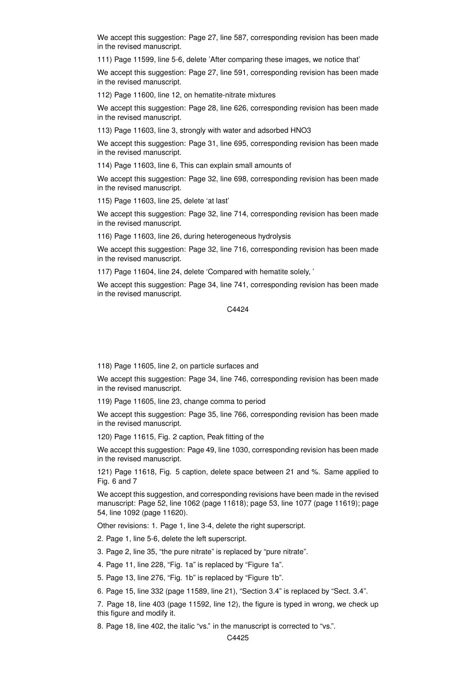We accept this suggestion: Page 27, line 587, corresponding revision has been made in the revised manuscript.

111) Page 11599, line 5-6, delete 'After comparing these images, we notice that'

We accept this suggestion: Page 27, line 591, corresponding revision has been made in the revised manuscript.

112) Page 11600, line 12, on hematite-nitrate mixtures

We accept this suggestion: Page 28, line 626, corresponding revision has been made in the revised manuscript.

113) Page 11603, line 3, strongly with water and adsorbed HNO3

We accept this suggestion: Page 31, line 695, corresponding revision has been made in the revised manuscript.

114) Page 11603, line 6, This can explain small amounts of

We accept this suggestion: Page 32, line 698, corresponding revision has been made in the revised manuscript.

115) Page 11603, line 25, delete 'at last'

We accept this suggestion: Page 32, line 714, corresponding revision has been made in the revised manuscript.

116) Page 11603, line 26, during heterogeneous hydrolysis

We accept this suggestion: Page 32, line 716, corresponding revision has been made in the revised manuscript.

117) Page 11604, line 24, delete 'Compared with hematite solely, '

We accept this suggestion: Page 34, line 741, corresponding revision has been made in the revised manuscript.

C4424

118) Page 11605, line 2, on particle surfaces and

We accept this suggestion: Page 34, line 746, corresponding revision has been made in the revised manuscript.

119) Page 11605, line 23, change comma to period

We accept this suggestion: Page 35, line 766, corresponding revision has been made in the revised manuscript.

120) Page 11615, Fig. 2 caption, Peak fitting of the

We accept this suggestion: Page 49, line 1030, corresponding revision has been made in the revised manuscript.

121) Page 11618, Fig. 5 caption, delete space between 21 and %. Same applied to Fig. 6 and 7

We accept this suggestion, and corresponding revisions have been made in the revised manuscript: Page 52, line 1062 (page 11618); page 53, line 1077 (page 11619); page 54, line 1092 (page 11620).

Other revisions: 1. Page 1, line 3-4, delete the right superscript.

2. Page 1, line 5-6, delete the left superscript.

3. Page 2, line 35, "the pure nitrate" is replaced by "pure nitrate".

4. Page 11, line 228, "Fig. 1a" is replaced by "Figure 1a".

5. Page 13, line 276, "Fig. 1b" is replaced by "Figure 1b".

6. Page 15, line 332 (page 11589, line 21), "Section 3.4" is replaced by "Sect. 3.4".

7. Page 18, line 403 (page 11592, line 12), the figure is typed in wrong, we check up this figure and modify it.

8. Page 18, line 402, the italic "vs." in the manuscript is corrected to "vs.".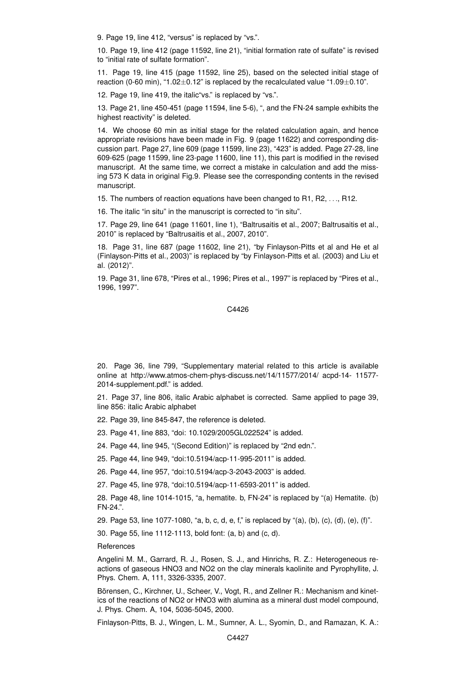9. Page 19, line 412, "versus" is replaced by "vs.".

10. Page 19, line 412 (page 11592, line 21), "initial formation rate of sulfate" is revised to "initial rate of sulfate formation".

11. Page 19, line 415 (page 11592, line 25), based on the selected initial stage of reaction (0-60 min), "1.02 $\pm$ 0.12" is replaced by the recalculated value "1.09 $\pm$ 0.10".

12. Page 19, line 419, the italic"vs." is replaced by "vs.".

13. Page 21, line 450-451 (page 11594, line 5-6), ", and the FN-24 sample exhibits the highest reactivity" is deleted.

14. We choose 60 min as initial stage for the related calculation again, and hence appropriate revisions have been made in Fig. 9 (page 11622) and corresponding discussion part. Page 27, line 609 (page 11599, line 23), "423" is added. Page 27-28, line 609-625 (page 11599, line 23-page 11600, line 11), this part is modified in the revised manuscript. At the same time, we correct a mistake in calculation and add the missing 573 K data in original Fig.9. Please see the corresponding contents in the revised manuscript.

15. The numbers of reaction equations have been changed to R1, R2, . . ., R12.

16. The italic "in situ" in the manuscript is corrected to "in situ".

17. Page 29, line 641 (page 11601, line 1), "Baltrusaitis et al., 2007; Baltrusaitis et al., 2010" is replaced by "Baltrusaitis et al., 2007, 2010".

18. Page 31, line 687 (page 11602, line 21), "by Finlayson-Pitts et al and He et al (Finlayson-Pitts et al., 2003)" is replaced by "by Finlayson-Pitts et al. (2003) and Liu et al. (2012)".

19. Page 31, line 678, "Pires et al., 1996; Pires et al., 1997" is replaced by "Pires et al., 1996, 1997".

#### C4426

20. Page 36, line 799, "Supplementary material related to this article is available online at http://www.atmos-chem-phys-discuss.net/14/11577/2014/ acpd-14- 11577- 2014-supplement.pdf." is added.

21. Page 37, line 806, italic Arabic alphabet is corrected. Same applied to page 39, line 856: italic Arabic alphabet

22. Page 39, line 845-847, the reference is deleted.

23. Page 41, line 883, "doi: 10.1029/2005GL022524" is added.

24. Page 44, line 945, "(Second Edition)" is replaced by "2nd edn.".

25. Page 44, line 949, "doi:10.5194/acp-11-995-2011" is added.

26. Page 44, line 957, "doi:10.5194/acp-3-2043-2003" is added.

27. Page 45, line 978, "doi:10.5194/acp-11-6593-2011" is added.

28. Page 48, line 1014-1015, "a, hematite. b, FN-24" is replaced by "(a) Hematite. (b) FN-24.".

29. Page 53, line 1077-1080, "a, b, c, d, e, f," is replaced by "(a), (b), (c), (d), (e), (f)".

30. Page 55, line 1112-1113, bold font: (a, b) and (c, d).

**References** 

Angelini M. M., Garrard, R. J., Rosen, S. J., and Hinrichs, R. Z.: Heterogeneous reactions of gaseous HNO3 and NO2 on the clay minerals kaolinite and Pyrophyllite, J. Phys. Chem. A, 111, 3326-3335, 2007.

Börensen, C., Kirchner, U., Scheer, V., Vogt, R., and Zellner R.: Mechanism and kinetics of the reactions of NO2 or HNO3 with alumina as a mineral dust model compound, J. Phys. Chem. A, 104, 5036-5045, 2000.

Finlayson-Pitts, B. J., Wingen, L. M., Sumner, A. L., Syomin, D., and Ramazan, K. A.: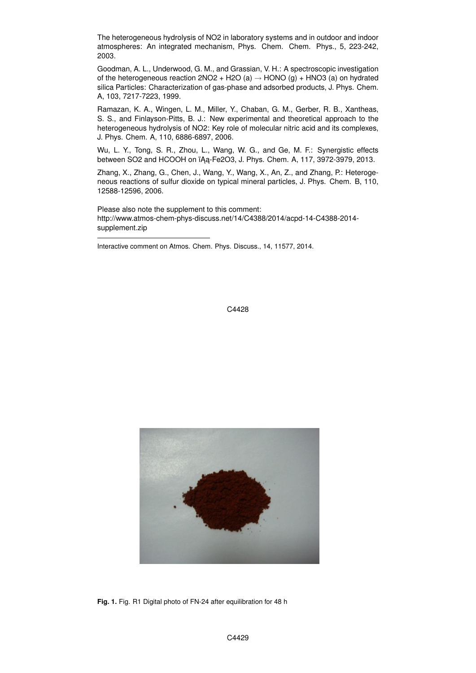The heterogeneous hydrolysis of NO2 in laboratory systems and in outdoor and indoor atmospheres: An integrated mechanism, Phys. Chem. Chem. Phys., 5, 223-242, 2003.

Goodman, A. L., Underwood, G. M., and Grassian, V. H.: A spectroscopic investigation of the heterogeneous reaction  $2NO2 + H2O (a) \rightarrow HONO (g) + HNO3 (a)$  on hydrated silica Particles: Characterization of gas-phase and adsorbed products, J. Phys. Chem. A, 103, 7217-7223, 1999.

Ramazan, K. A., Wingen, L. M., Miller, Y., Chaban, G. M., Gerber, R. B., Xantheas, S. S., and Finlayson-Pitts, B. J.: New experimental and theoretical approach to the heterogeneous hydrolysis of NO2: Key role of molecular nitric acid and its complexes, J. Phys. Chem. A, 110, 6886-6897, 2006.

Wu, L. Y., Tong, S. R., Zhou, L., Wang, W. G., and Ge, M. F.: Synergistic effects between SO2 and HCOOH on ïAa-Fe2O3, J. Phys. Chem. A, 117, 3972-3979, 2013.

Zhang, X., Zhang, G., Chen, J., Wang, Y., Wang, X., An, Z., and Zhang, P.: Heterogeneous reactions of sulfur dioxide on typical mineral particles, J. Phys. Chem. B, 110, 12588-12596, 2006.

Please also note the supplement to this comment: http://www.atmos-chem-phys-discuss.net/14/C4388/2014/acpd-14-C4388-2014 supplement.zip

Interactive comment on Atmos. Chem. Phys. Discuss., 14, 11577, 2014.

C4428



**Fig. 1.** Fig. R1 Digital photo of FN-24 after equilibration for 48 h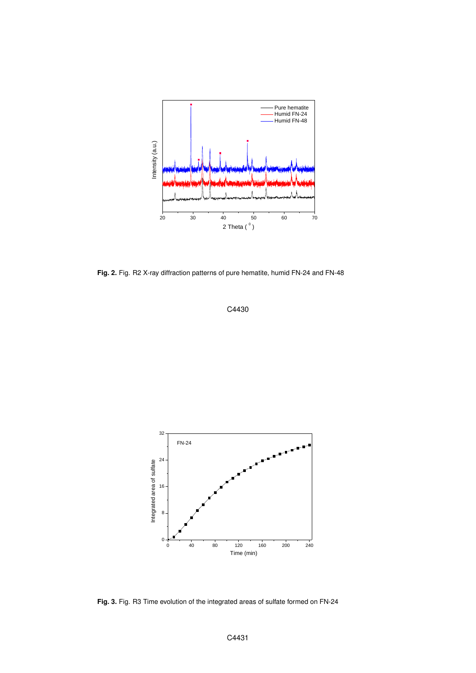

**Fig. 2.** Fig. R2 X-ray diffraction patterns of pure hematite, humid FN-24 and FN-48





**Fig. 3.** Fig. R3 Time evolution of the integrated areas of sulfate formed on FN-24